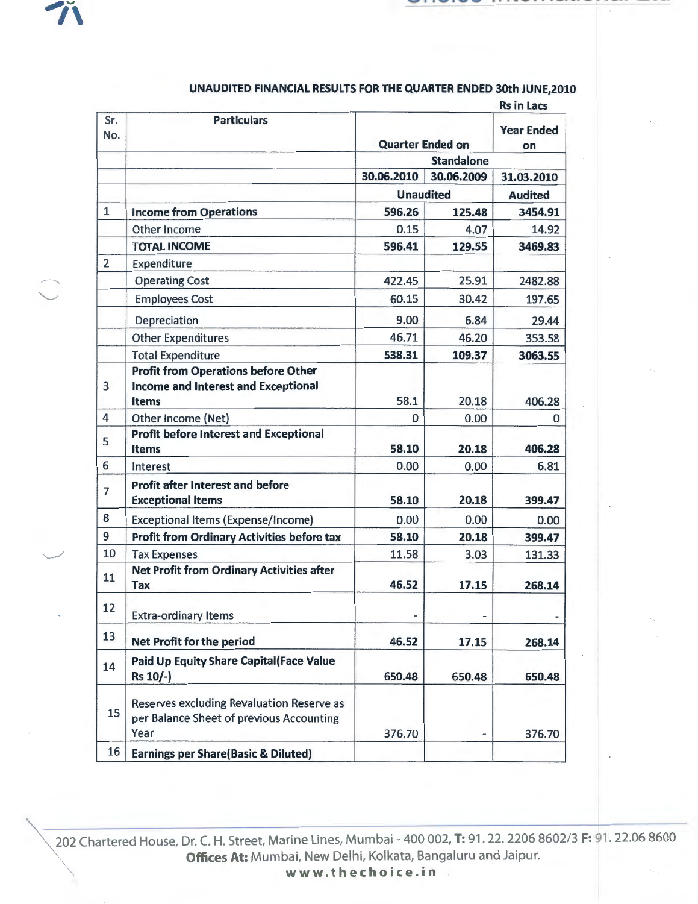

 $\smallsmile$ 

|                |                                                                                                          |                                              |            | <b>Rs in Lacs</b>        |
|----------------|----------------------------------------------------------------------------------------------------------|----------------------------------------------|------------|--------------------------|
| Sr.<br>No.     | <b>Particulars</b>                                                                                       | <b>Quarter Ended on</b><br><b>Standalone</b> |            | <b>Year Ended</b><br>on. |
|                |                                                                                                          |                                              |            |                          |
|                |                                                                                                          | 30.06.2010                                   | 30.06.2009 | 31.03.2010               |
|                |                                                                                                          | <b>Unaudited</b>                             |            | <b>Audited</b>           |
| $\mathbf{1}$   | <b>Income from Operations</b>                                                                            | 596.26                                       | 125.48     | 3454.91                  |
|                | Other Income                                                                                             | 0.15                                         | 4.07       | 14.92                    |
|                | <b>TOTAL INCOME</b>                                                                                      | 596.41                                       | 129.55     | 3469.83                  |
| $\overline{2}$ | Expenditure                                                                                              |                                              |            |                          |
|                | <b>Operating Cost</b>                                                                                    | 422.45                                       | 25.91      | 2482.88                  |
|                | <b>Employees Cost</b>                                                                                    | 60.15                                        | 30.42      | 197.65                   |
|                | Depreciation                                                                                             | 9.00                                         | 6.84       | 29.44                    |
|                | <b>Other Expenditures</b>                                                                                | 46.71                                        | 46.20      | 353.58                   |
|                | <b>Total Expenditure</b>                                                                                 | 538.31                                       | 109.37     | 3063.55                  |
| 3              | <b>Profit from Operations before Other</b><br><b>Income and Interest and Exceptional</b><br><b>Items</b> | 58.1                                         | 20.18      | 406.28                   |
| 4              | Other Income (Net)                                                                                       | 0                                            | 0.00       | 0                        |
| 5              | <b>Profit before Interest and Exceptional</b><br><b>Items</b>                                            | 58.10                                        | 20.18      | 406.28                   |
| 6              | Interest                                                                                                 | 0.00                                         | 0.00       | 6.81                     |
| $\overline{7}$ | <b>Profit after Interest and before</b><br><b>Exceptional Items</b>                                      | 58.10                                        | 20.18      | 399.47                   |
| 8              | Exceptional Items (Expense/Income)                                                                       | 0.00                                         | 0.00       | 0.00                     |
| 9              | <b>Profit from Ordinary Activities before tax</b>                                                        | 58.10                                        | 20.18      | 399.47                   |
| 10             | <b>Tax Expenses</b>                                                                                      | 11.58                                        | 3.03       | 131.33                   |
| 11             | <b>Net Profit from Ordinary Activities after</b><br><b>Tax</b>                                           | 46.52                                        | 17.15      | 268.14                   |
| 12             | <b>Extra-ordinary Items</b>                                                                              |                                              |            |                          |
| 13             | Net Profit for the period                                                                                | 46.52                                        | 17.15      | 268.14                   |
| 14             | Paid Up Equity Share Capital (Face Value<br>Rs 10/-)                                                     | 650.48                                       | 650.48     | 650.48                   |
| 15             | Reserves excluding Revaluation Reserve as<br>per Balance Sheet of previous Accounting<br>Year            | 376.70                                       |            | 376.70                   |
| 16             | <b>Earnings per Share(Basic &amp; Diluted)</b>                                                           |                                              |            |                          |

## UNAUDITED FINANCIAL RESULTS FOR THE QUARTER ENDED 30th JUNE,2010

202 Chartered House, Dr. C. H. Street, Marine Lines, Mumbai- 400 002, T: 91. 22. 2206 8602/3 F: 91. 22.06 8600 Offices At: Mumbai, New Delhi, Kolkata, Bangaluru and Jaipur. www.thechoice.in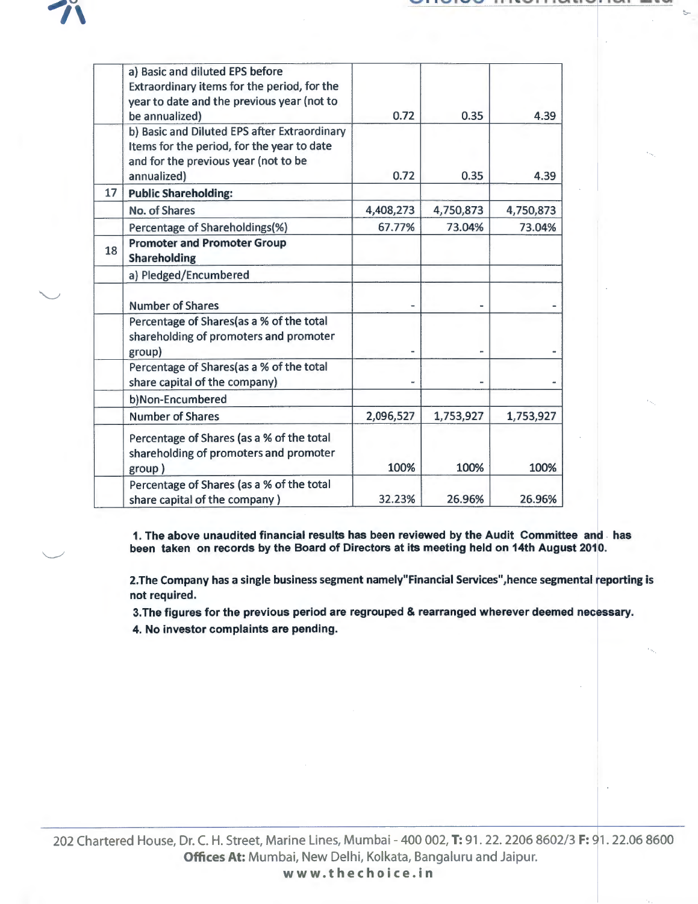:.,.

 $\smile$ 

 $\overline{\phantom{a}}$   $\overline{\phantom{a}}$ 

|    | a) Basic and diluted EPS before<br>Extraordinary items for the period, for the<br>year to date and the previous year (not to<br>be annualized)    | 0.72      | 0.35      | 4.39      |
|----|---------------------------------------------------------------------------------------------------------------------------------------------------|-----------|-----------|-----------|
|    | b) Basic and Diluted EPS after Extraordinary<br>Items for the period, for the year to date<br>and for the previous year (not to be<br>annualized) | 0.72      | 0.35      | 4.39      |
| 17 | <b>Public Shareholding:</b>                                                                                                                       |           |           |           |
|    | No. of Shares                                                                                                                                     | 4,408,273 | 4,750,873 | 4,750,873 |
|    | Percentage of Shareholdings(%)                                                                                                                    | 67.77%    | 73.04%    | 73.04%    |
| 18 | <b>Promoter and Promoter Group</b><br><b>Shareholding</b>                                                                                         |           |           |           |
|    | a) Pledged/Encumbered                                                                                                                             |           |           |           |
|    | <b>Number of Shares</b>                                                                                                                           |           |           |           |
|    | Percentage of Shares(as a % of the total<br>shareholding of promoters and promoter<br>group)                                                      |           |           |           |
|    | Percentage of Shares(as a % of the total<br>share capital of the company)                                                                         |           |           |           |
|    | b)Non-Encumbered                                                                                                                                  |           |           |           |
|    | <b>Number of Shares</b>                                                                                                                           | 2,096,527 | 1,753,927 | 1,753,927 |
|    | Percentage of Shares (as a % of the total<br>shareholding of promoters and promoter<br>group)                                                     | 100%      | 100%      | 100%      |
|    | Percentage of Shares (as a % of the total                                                                                                         |           |           |           |
|    | share capital of the company)                                                                                                                     | 32.23%    | 26.96%    | 26.96%    |

1. The above unaudited financial results has been reviewed by the Audit Committee and has been taken on records by the Board of Directors at its meeting held on 14th August 2010.

2.The Company has a single business segment namely"Financial Services",hence segmental reporting is not required.

3. The figures for the previous period are regrouped & rearranged wherever deemed necessary.

4. No investor complaints are pending.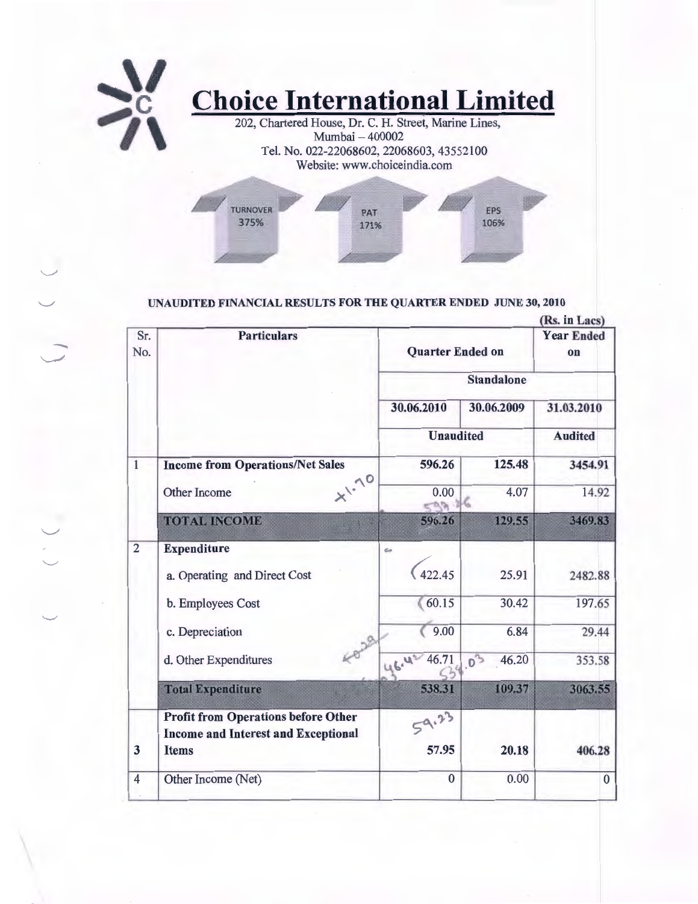

## UNAUDITED FINANCIAL RESULTS FOR THE QUARTER ENDED JUNE 30, 2010

|                |                                                                                          |                         |                         | (RS. In Lacs)  |  |
|----------------|------------------------------------------------------------------------------------------|-------------------------|-------------------------|----------------|--|
| Sr.<br>No.     | <b>Particulars</b>                                                                       | <b>Quarter Ended on</b> | <b>Year Ended</b><br>on |                |  |
|                |                                                                                          | <b>Standalone</b>       |                         |                |  |
|                |                                                                                          | 30.06.2010              | 30.06.2009              | 31.03.2010     |  |
|                |                                                                                          | <b>Unaudited</b>        |                         | <b>Audited</b> |  |
| $\mathbf{1}$   | <b>Income from Operations/Net Sales</b>                                                  | 596.26                  | 125.48                  | 3454.91        |  |
|                | $x^{1.10}$<br><b>Other Income</b>                                                        | 0.00<br>0.09.16         | 4.07                    | 14.92          |  |
|                | <b>TOTAL INCOME</b>                                                                      | 596.26                  | 129.55                  | 3469.83        |  |
| $\overline{2}$ | <b>Expenditure</b>                                                                       | eo                      |                         |                |  |
|                | a. Operating and Direct Cost                                                             | 422.45                  | 25.91                   | 2482.88        |  |
|                | b. Employees Cost                                                                        | 60.15                   | 30.42                   | 197.65         |  |
|                | c. Depreciation                                                                          | 9.00                    | 6.84                    | 29.44          |  |
|                | d. Other Expenditures                                                                    | 46.71<br>46.42          | $.0^{3}$<br>46.20       | 353.58         |  |
|                | <b>Total Expenditure</b>                                                                 | 538.31                  | 109.37                  | 3063.55        |  |
|                | <b>Profit from Operations before Other</b><br><b>Income and Interest and Exceptional</b> | 59.23                   |                         |                |  |
| 3              | <b>Items</b>                                                                             | 57.95                   | 20.18                   | 406.28         |  |
| $\overline{4}$ | Other Income (Net)                                                                       | $\overline{0}$          | 0.00                    | $\bf{0}$       |  |
|                |                                                                                          |                         |                         |                |  |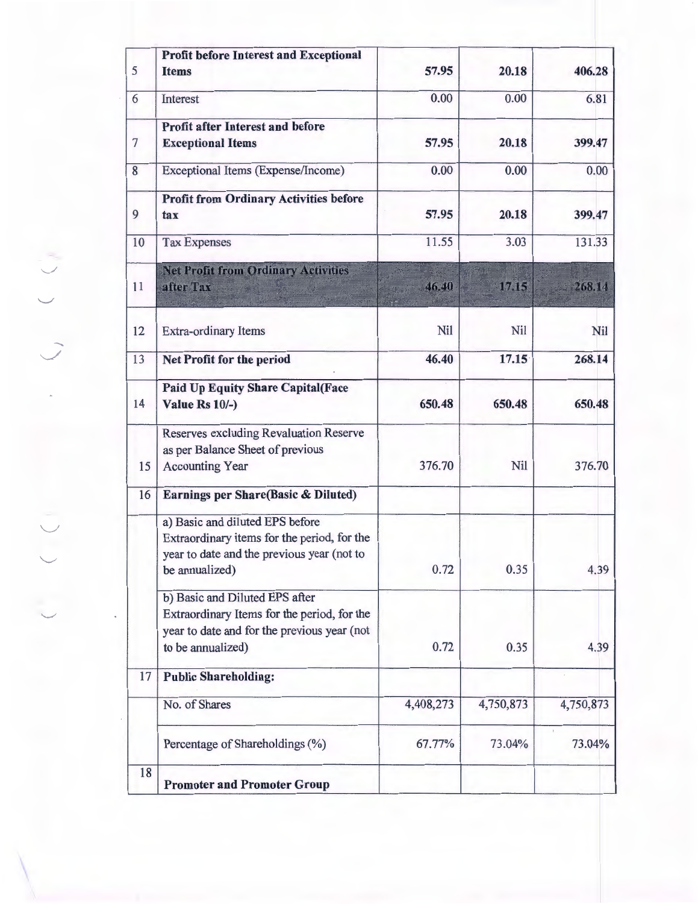| <b>Profit before Interest and Exceptional</b> |                                                                                                                                                                                                                                                                                                                                                                 |                                                                    | 406.28                                                                 |
|-----------------------------------------------|-----------------------------------------------------------------------------------------------------------------------------------------------------------------------------------------------------------------------------------------------------------------------------------------------------------------------------------------------------------------|--------------------------------------------------------------------|------------------------------------------------------------------------|
|                                               |                                                                                                                                                                                                                                                                                                                                                                 |                                                                    |                                                                        |
|                                               |                                                                                                                                                                                                                                                                                                                                                                 |                                                                    | 6.81                                                                   |
| <b>Profit after Interest and before</b>       |                                                                                                                                                                                                                                                                                                                                                                 |                                                                    |                                                                        |
|                                               |                                                                                                                                                                                                                                                                                                                                                                 |                                                                    | 399.47                                                                 |
| <b>Exceptional Items (Expense/Income)</b>     | 0.00                                                                                                                                                                                                                                                                                                                                                            | 0.00                                                               | 0.00                                                                   |
| <b>Profit from Ordinary Activities before</b> |                                                                                                                                                                                                                                                                                                                                                                 |                                                                    |                                                                        |
| tax                                           |                                                                                                                                                                                                                                                                                                                                                                 |                                                                    | 399.47                                                                 |
| <b>Tax Expenses</b>                           | 11.55                                                                                                                                                                                                                                                                                                                                                           | 3.03                                                               | 131.33                                                                 |
| <b>Net Profit from Ordinary Activities</b>    |                                                                                                                                                                                                                                                                                                                                                                 |                                                                    |                                                                        |
|                                               |                                                                                                                                                                                                                                                                                                                                                                 |                                                                    | 268.14                                                                 |
| Extra-ordinary Items                          | Nil                                                                                                                                                                                                                                                                                                                                                             | Nil                                                                | Nil                                                                    |
| Net Profit for the period                     | 46.40                                                                                                                                                                                                                                                                                                                                                           | 17.15                                                              | 268.14                                                                 |
|                                               |                                                                                                                                                                                                                                                                                                                                                                 |                                                                    |                                                                        |
| Value Rs 10/-)                                | 650.48                                                                                                                                                                                                                                                                                                                                                          | 650.48                                                             | 650.48                                                                 |
| <b>Reserves excluding Revaluation Reserve</b> |                                                                                                                                                                                                                                                                                                                                                                 |                                                                    |                                                                        |
|                                               |                                                                                                                                                                                                                                                                                                                                                                 |                                                                    |                                                                        |
|                                               |                                                                                                                                                                                                                                                                                                                                                                 |                                                                    | 376.70                                                                 |
| Earnings per Share(Basic & Diluted)           |                                                                                                                                                                                                                                                                                                                                                                 |                                                                    |                                                                        |
| a) Basic and diluted EPS before               |                                                                                                                                                                                                                                                                                                                                                                 |                                                                    |                                                                        |
| Extraordinary items for the period, for the   |                                                                                                                                                                                                                                                                                                                                                                 |                                                                    |                                                                        |
|                                               |                                                                                                                                                                                                                                                                                                                                                                 |                                                                    | 4.39                                                                   |
|                                               |                                                                                                                                                                                                                                                                                                                                                                 |                                                                    |                                                                        |
| b) Basic and Diluted EPS after                |                                                                                                                                                                                                                                                                                                                                                                 |                                                                    |                                                                        |
|                                               |                                                                                                                                                                                                                                                                                                                                                                 |                                                                    |                                                                        |
|                                               |                                                                                                                                                                                                                                                                                                                                                                 |                                                                    |                                                                        |
|                                               |                                                                                                                                                                                                                                                                                                                                                                 |                                                                    | 4.39                                                                   |
| <b>Public Shareholding:</b>                   |                                                                                                                                                                                                                                                                                                                                                                 |                                                                    |                                                                        |
| No. of Shares                                 | 4,408,273                                                                                                                                                                                                                                                                                                                                                       | 4,750,873                                                          | 4,750,873                                                              |
| Percentage of Shareholdings (%)               | 67.77%                                                                                                                                                                                                                                                                                                                                                          | 73.04%                                                             | 73.04%                                                                 |
| <b>Promoter and Promoter Group</b>            |                                                                                                                                                                                                                                                                                                                                                                 |                                                                    |                                                                        |
|                                               | <b>Items</b><br>Interest<br><b>Exceptional Items</b><br>after Tax<br><b>Paid Up Equity Share Capital (Face</b><br>as per Balance Sheet of previous<br><b>Accounting Year</b><br>year to date and the previous year (not to<br>be annualized)<br>Extraordinary Items for the period, for the<br>year to date and for the previous year (not<br>to be annualized) | 57.95<br>0.00<br>57.95<br>57.95<br>46.40<br>376.70<br>0.72<br>0.72 | 20.18<br>0.00<br>20.18<br>20.18<br>17.15<br><b>Nil</b><br>0.35<br>0.35 |

 $\begin{pmatrix} 1 & 1 \\ 1 & 1 \end{pmatrix}$  $\overrightarrow{C}$ 

J